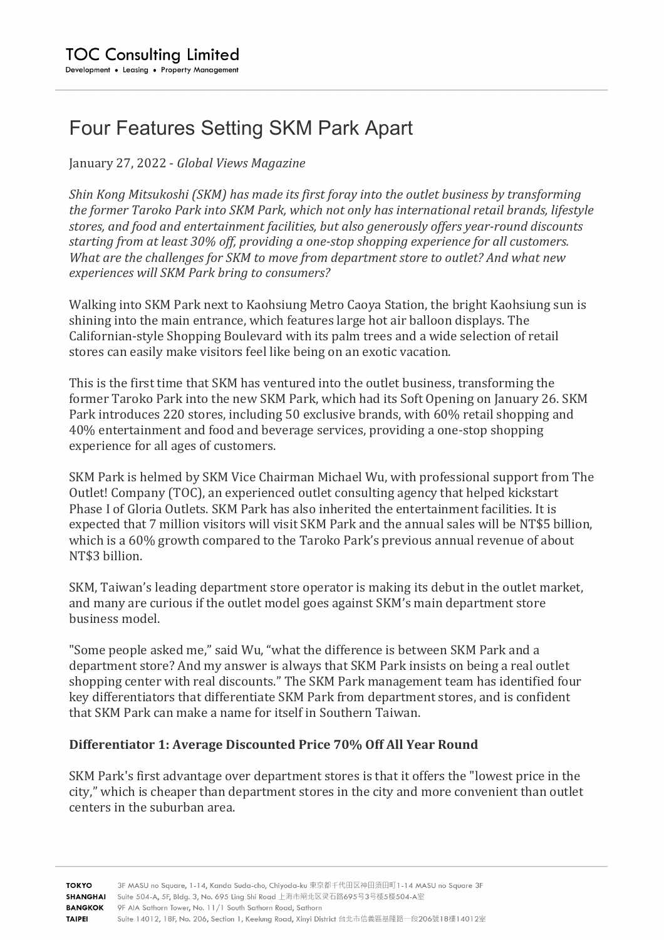# Four Features Setting SKM Park Apart

January 27, 2022 - *Global Views Magazine* 

*Shin Kong Mitsukoshi (SKM) has made its first foray into the outlet business by transforming* the former Taroko Park into SKM Park, which not only has international retail brands, lifestyle stores, and food and entertainment facilities, but also generously offers year-round discounts starting from at least 30% off, providing a one-stop shopping experience for all customers. *What are the challenges for SKM to move from department store to outlet? And what new experiences will SKM Park bring to consumers?*

Walking into SKM Park next to Kaohsiung Metro Caoya Station, the bright Kaohsiung sun is shining into the main entrance, which features large hot air balloon displays. The Californian-style Shopping Boulevard with its palm trees and a wide selection of retail stores can easily make visitors feel like being on an exotic vacation.

This is the first time that SKM has ventured into the outlet business, transforming the former Taroko Park into the new SKM Park, which had its Soft Opening on January 26. SKM Park introduces 220 stores, including 50 exclusive brands, with 60% retail shopping and 40% entertainment and food and beverage services, providing a one-stop shopping experience for all ages of customers.

SKM Park is helmed by SKM Vice Chairman Michael Wu, with professional support from The Outlet! Company (TOC), an experienced outlet consulting agency that helped kickstart Phase I of Gloria Outlets. SKM Park has also inherited the entertainment facilities. It is expected that 7 million visitors will visit SKM Park and the annual sales will be NT\$5 billion, which is a 60% growth compared to the Taroko Park's previous annual revenue of about NT\$3 billion.

SKM, Taiwan's leading department store operator is making its debut in the outlet market, and many are curious if the outlet model goes against SKM's main department store business model.

"Some people asked me," said Wu, "what the difference is between SKM Park and a department store? And my answer is always that SKM Park insists on being a real outlet shopping center with real discounts." The SKM Park management team has identified four key differentiators that differentiate SKM Park from department stores, and is confident that SKM Park can make a name for itself in Southern Taiwan.

#### **Differentiator 1: Average Discounted Price 70% Off All Year Round**

SKM Park's first advantage over department stores is that it offers the "lowest price in the city," which is cheaper than department stores in the city and more convenient than outlet centers in the suburban area.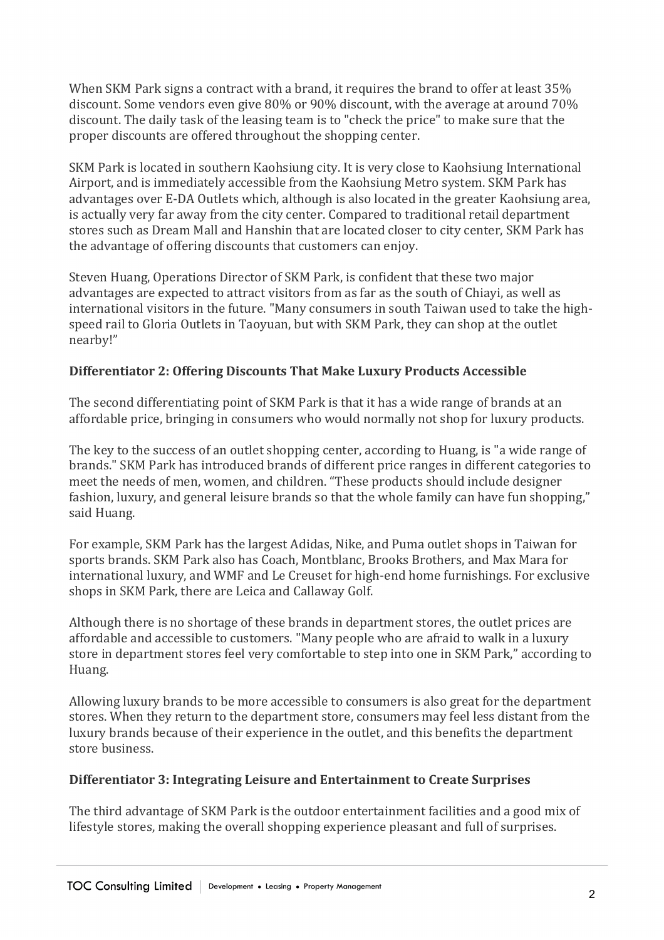When SKM Park signs a contract with a brand, it requires the brand to offer at least 35% discount. Some vendors even give  $80\%$  or  $90\%$  discount, with the average at around  $70\%$ discount. The daily task of the leasing team is to "check the price" to make sure that the proper discounts are offered throughout the shopping center.

SKM Park is located in southern Kaohsiung city. It is very close to Kaohsiung International Airport, and is immediately accessible from the Kaohsiung Metro system. SKM Park has advantages over E-DA Outlets which, although is also located in the greater Kaohsiung area, is actually very far away from the city center. Compared to traditional retail department stores such as Dream Mall and Hanshin that are located closer to city center, SKM Park has the advantage of offering discounts that customers can enjoy.

Steven Huang, Operations Director of SKM Park, is confident that these two major advantages are expected to attract visitors from as far as the south of Chiavi, as well as international visitors in the future. "Many consumers in south Taiwan used to take the highspeed rail to Gloria Outlets in Taoyuan, but with SKM Park, they can shop at the outlet nearby!"

## **Differentiator 2: Offering Discounts That Make Luxury Products Accessible**

The second differentiating point of SKM Park is that it has a wide range of brands at an affordable price, bringing in consumers who would normally not shop for luxury products.

The key to the success of an outlet shopping center, according to Huang, is "a wide range of brands." SKM Park has introduced brands of different price ranges in different categories to meet the needs of men, women, and children. "These products should include designer fashion, luxury, and general leisure brands so that the whole family can have fun shopping," said Huang.

For example, SKM Park has the largest Adidas, Nike, and Puma outlet shops in Taiwan for sports brands. SKM Park also has Coach, Montblanc, Brooks Brothers, and Max Mara for international luxury, and WMF and Le Creuset for high-end home furnishings. For exclusive shops in SKM Park, there are Leica and Callaway Golf.

Although there is no shortage of these brands in department stores, the outlet prices are affordable and accessible to customers. "Many people who are afraid to walk in a luxury store in department stores feel very comfortable to step into one in SKM Park," according to Huang.

Allowing luxury brands to be more accessible to consumers is also great for the department stores. When they return to the department store, consumers may feel less distant from the luxury brands because of their experience in the outlet, and this benefits the department store business

## **Differentiator 3: Integrating Leisure and Entertainment to Create Surprises**

The third advantage of SKM Park is the outdoor entertainment facilities and a good mix of lifestyle stores, making the overall shopping experience pleasant and full of surprises.